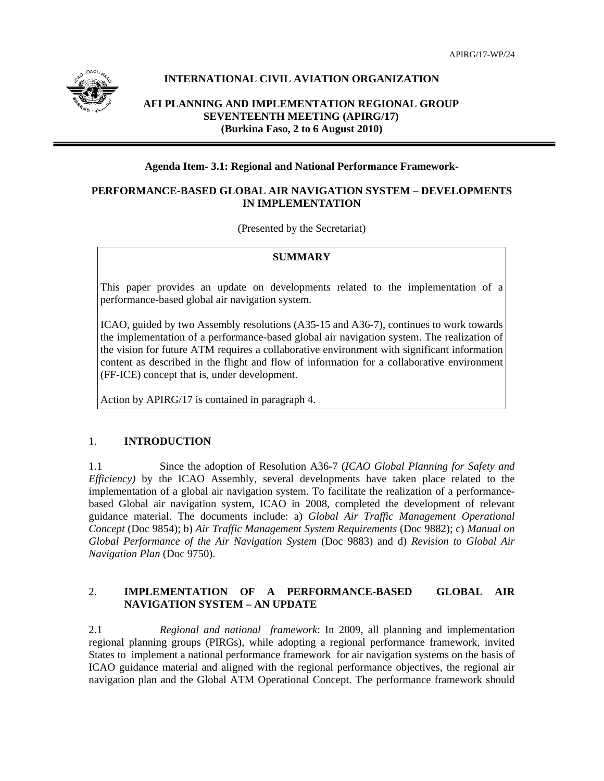APIRG/17-WP/24



# **INTERNATIONAL CIVIL AVIATION ORGANIZATION**

# **AFI PLANNING AND IMPLEMENTATION REGIONAL GROUP SEVENTEENTH MEETING (APIRG/17) (Burkina Faso, 2 to 6 August 2010)**

# **Agenda Item- 3.1: Regional and National Performance Framework-**

# **PERFORMANCE-BASED GLOBAL AIR NAVIGATION SYSTEM – DEVELOPMENTS IN IMPLEMENTATION**

(Presented by the Secretariat)

### **SUMMARY**

This paper provides an update on developments related to the implementation of a performance-based global air navigation system.

ICAO, guided by two Assembly resolutions (A35-15 and A36-7), continues to work towards the implementation of a performance-based global air navigation system. The realization of the vision for future ATM requires a collaborative environment with significant information content as described in the flight and flow of information for a collaborative environment (FF-ICE) concept that is, under development.

Action by APIRG/17 is contained in paragraph 4.

### 1. **INTRODUCTION**

1.1 Since the adoption of Resolution A36-7 (*ICAO Global Planning for Safety and Efficiency)* by the ICAO Assembly, several developments have taken place related to the implementation of a global air navigation system. To facilitate the realization of a performancebased Global air navigation system, ICAO in 2008, completed the development of relevant guidance material. The documents include: a) *Global Air Traffic Management Operational Concept* (Doc 9854); b) *Air Traffic Management System Requirements* (Doc 9882); c) *Manual on Global Performance of the Air Navigation System* (Doc 9883) and d) *Revision to Global Air Navigation Plan* (Doc 9750).

# 2. **IMPLEMENTATION OF A PERFORMANCE-BASED GLOBAL AIR NAVIGATION SYSTEM – AN UPDATE**

2.1 *Regional and national framework*: In 2009, all planning and implementation regional planning groups (PIRGs), while adopting a regional performance framework, invited States to implement a national performance framework for air navigation systems on the basis of ICAO guidance material and aligned with the regional performance objectives, the regional air navigation plan and the Global ATM Operational Concept. The performance framework should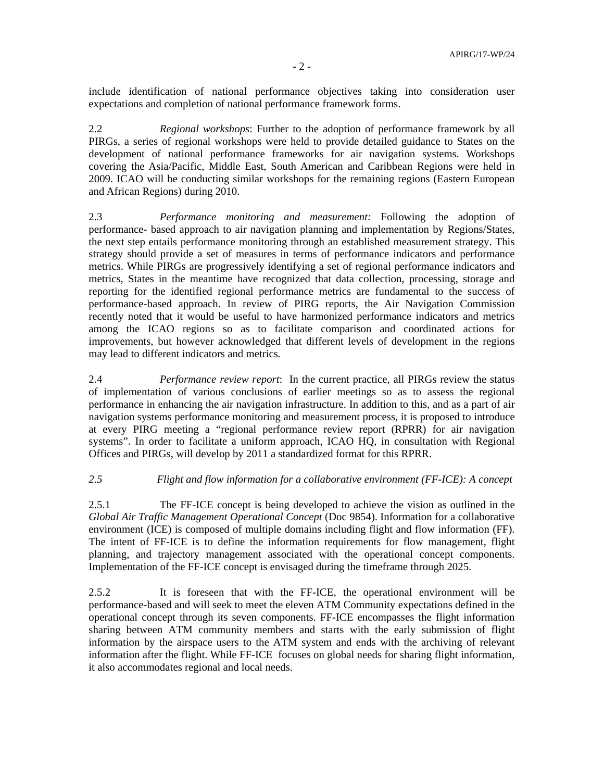include identification of national performance objectives taking into consideration user expectations and completion of national performance framework forms.

2.2 *Regional workshops*: Further to the adoption of performance framework by all PIRGs, a series of regional workshops were held to provide detailed guidance to States on the development of national performance frameworks for air navigation systems. Workshops covering the Asia/Pacific, Middle East, South American and Caribbean Regions were held in 2009. ICAO will be conducting similar workshops for the remaining regions (Eastern European and African Regions) during 2010.

2.3 *Performance monitoring and measurement:* Following the adoption of performance- based approach to air navigation planning and implementation by Regions/States, the next step entails performance monitoring through an established measurement strategy. This strategy should provide a set of measures in terms of performance indicators and performance metrics. While PIRGs are progressively identifying a set of regional performance indicators and metrics, States in the meantime have recognized that data collection, processing, storage and reporting for the identified regional performance metrics are fundamental to the success of performance-based approach. In review of PIRG reports, the Air Navigation Commission recently noted that it would be useful to have harmonized performance indicators and metrics among the ICAO regions so as to facilitate comparison and coordinated actions for improvements, but however acknowledged that different levels of development in the regions may lead to different indicators and metrics*.*

2.4 *Performance review report*: In the current practice, all PIRGs review the status of implementation of various conclusions of earlier meetings so as to assess the regional performance in enhancing the air navigation infrastructure. In addition to this, and as a part of air navigation systems performance monitoring and measurement process, it is proposed to introduce at every PIRG meeting a "regional performance review report (RPRR) for air navigation systems". In order to facilitate a uniform approach, ICAO HQ, in consultation with Regional Offices and PIRGs, will develop by 2011 a standardized format for this RPRR.

### *2.5 Flight and flow information for a collaborative environment (FF-ICE): A concept*

2.5.1 The FF-ICE concept is being developed to achieve the vision as outlined in the *Global Air Traffic Management Operational Concept* (Doc 9854). Information for a collaborative environment (ICE) is composed of multiple domains including flight and flow information (FF). The intent of FF-ICE is to define the information requirements for flow management, flight planning, and trajectory management associated with the operational concept components. Implementation of the FF-ICE concept is envisaged during the timeframe through 2025.

2.5.2 It is foreseen that with the FF-ICE, the operational environment will be performance-based and will seek to meet the eleven ATM Community expectations defined in the operational concept through its seven components. FF-ICE encompasses the flight information sharing between ATM community members and starts with the early submission of flight information by the airspace users to the ATM system and ends with the archiving of relevant information after the flight. While FF-ICE focuses on global needs for sharing flight information, it also accommodates regional and local needs.